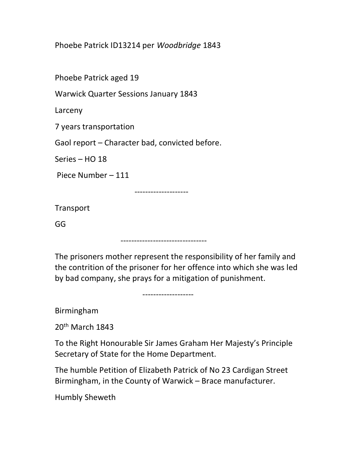Phoebe Patrick ID13214 per Woodbridge 1843

Phoebe Patrick aged 19

Warwick Quarter Sessions January 1843

Larceny

7 years transportation

Gaol report – Character bad, convicted before.

Series – HO 18

Piece Number – 111

--------------------

--------------------------------

**Transport** 

GG

The prisoners mother represent the responsibility of her family and the contrition of the prisoner for her offence into which she was led by bad company, she prays for a mitigation of punishment.

-------------------

Birmingham

20th March 1843

To the Right Honourable Sir James Graham Her Majesty's Principle Secretary of State for the Home Department.

The humble Petition of Elizabeth Patrick of No 23 Cardigan Street Birmingham, in the County of Warwick – Brace manufacturer.

Humbly Sheweth